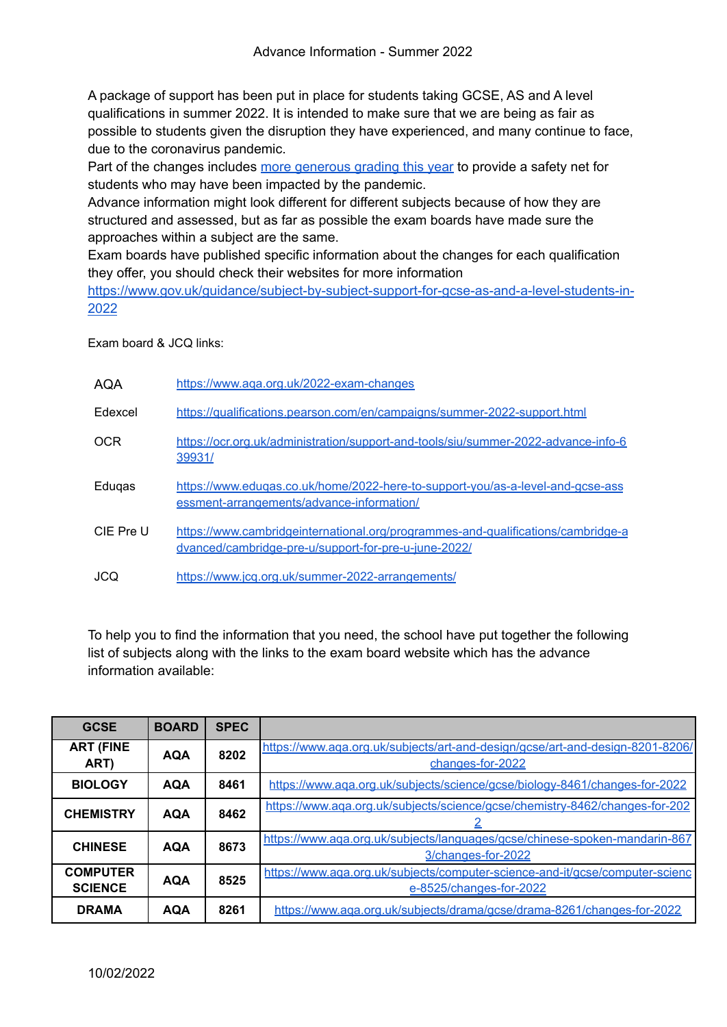A package of support has been put in place for students taking GCSE, AS and A level qualifications in summer 2022. It is intended to make sure that we are being as fair as possible to students given the disruption they have experienced, and many continue to face, due to the coronavirus pandemic.

Part of the changes includes more [generous](https://www.gov.uk/government/speeches/ofquals-approach-to-grading-exams-and-assessments-in-summer-2022-and-autumn-2021) grading this year to provide a safety net for students who may have been impacted by the pandemic.

Advance information might look different for different subjects because of how they are structured and assessed, but as far as possible the exam boards have made sure the approaches within a subject are the same.

Exam boards have published specific information about the changes for each qualification they offer, you should check their websites for more information

[https://www.gov.uk/guidance/subject-by-subject-support-for-gcse-as-and-a-level-students-in-](https://www.gov.uk/guidance/subject-by-subject-support-for-gcse-as-and-a-level-students-in-2022)[2022](https://www.gov.uk/guidance/subject-by-subject-support-for-gcse-as-and-a-level-students-in-2022)

Exam board & JCQ links:

| AQA        | https://www.aqa.org.uk/2022-exam-changes                                                                                                 |
|------------|------------------------------------------------------------------------------------------------------------------------------------------|
| Edexcel    | https://qualifications.pearson.com/en/campaigns/summer-2022-support.html                                                                 |
| <b>OCR</b> | https://ocr.org.uk/administration/support-and-tools/siu/summer-2022-advance-info-6<br>39931/                                             |
| Edugas     | https://www.edugas.co.uk/home/2022-here-to-support-you/as-a-level-and-gcse-ass<br>essment-arrangements/advance-information/              |
| CIE Pre U  | https://www.cambridgeinternational.org/programmes-and-qualifications/cambridge-a<br>dvanced/cambridge-pre-u/support-for-pre-u-june-2022/ |
| JCQ        | https://www.icg.org.uk/summer-2022-arrangements/                                                                                         |

To help you to find the information that you need, the school have put together the following list of subjects along with the links to the exam board website which has the advance information available:

| <b>GCSE</b>                       | <b>BOARD</b> | <b>SPEC</b> |                                                                                                         |
|-----------------------------------|--------------|-------------|---------------------------------------------------------------------------------------------------------|
| <b>ART (FINE</b><br>ART)          | <b>AQA</b>   | 8202        | https://www.aga.org.uk/subjects/art-and-design/gcse/art-and-design-8201-8206/<br>changes-for-2022       |
| <b>BIOLOGY</b>                    | <b>AQA</b>   | 8461        | https://www.aga.org.uk/subjects/science/gcse/biology-8461/changes-for-2022                              |
| <b>CHEMISTRY</b>                  | <b>AQA</b>   | 8462        | https://www.aqa.org.uk/subjects/science/gcse/chemistry-8462/changes-for-202                             |
| <b>CHINESE</b>                    | <b>AQA</b>   | 8673        | https://www.aga.org.uk/subjects/languages/gcse/chinese-spoken-mandarin-867<br>3/changes-for-2022        |
| <b>COMPUTER</b><br><b>SCIENCE</b> | <b>AQA</b>   | 8525        | https://www.aqa.org.uk/subjects/computer-science-and-it/gcse/computer-scienc<br>e-8525/changes-for-2022 |
| <b>DRAMA</b>                      | <b>AQA</b>   | 8261        | https://www.aqa.org.uk/subjects/drama/gcse/drama-8261/changes-for-2022                                  |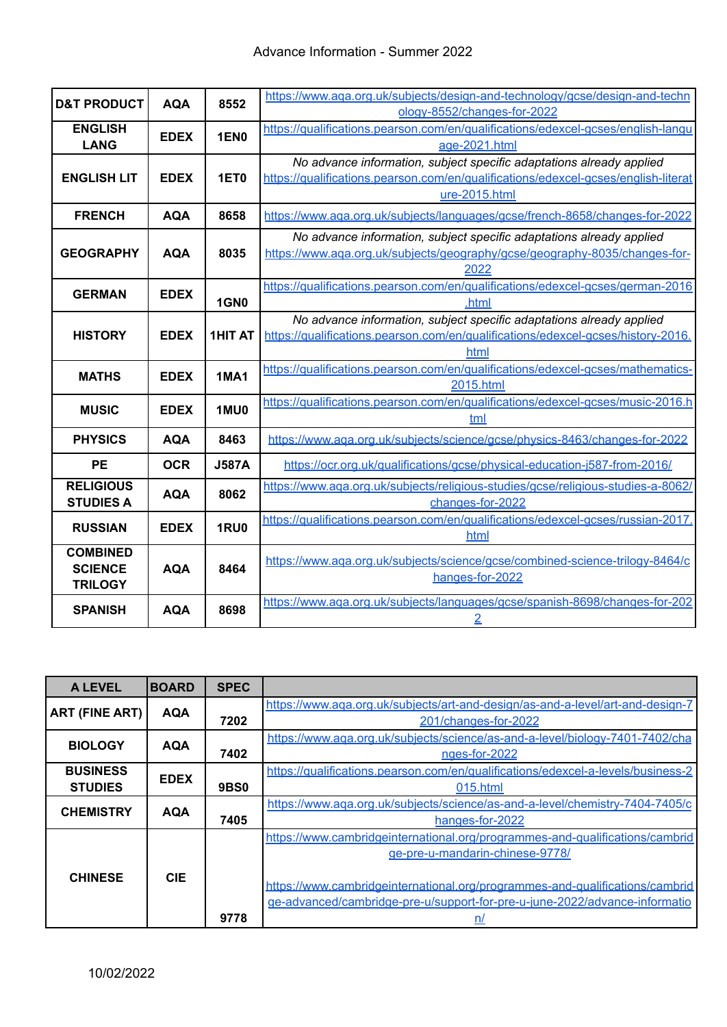| <b>D&amp;T PRODUCT</b> | <b>AQA</b>  | 8552           | https://www.aqa.org.uk/subjects/design-and-technology/gcse/design-and-techn        |
|------------------------|-------------|----------------|------------------------------------------------------------------------------------|
|                        |             |                | ology-8552/changes-for-2022                                                        |
| <b>ENGLISH</b>         | <b>EDEX</b> | <b>1EN0</b>    | https://qualifications.pearson.com/en/qualifications/edexcel-gcses/english-langu   |
| <b>LANG</b>            |             |                | age-2021.html                                                                      |
|                        |             |                | No advance information, subject specific adaptations already applied               |
| <b>ENGLISH LIT</b>     | <b>EDEX</b> | 1ET0           | https://qualifications.pearson.com/en/qualifications/edexcel-qcses/english-literat |
|                        |             |                | ure-2015.html                                                                      |
| <b>FRENCH</b>          | <b>AQA</b>  | 8658           | https://www.aga.org.uk/subjects/languages/gcse/french-8658/changes-for-2022        |
|                        |             |                | No advance information, subject specific adaptations already applied               |
| <b>GEOGRAPHY</b>       | <b>AQA</b>  | 8035           | https://www.aqa.org.uk/subjects/geography/gcse/geography-8035/changes-for-         |
|                        |             |                | 2022                                                                               |
| <b>GERMAN</b>          | <b>EDEX</b> |                | https://qualifications.pearson.com/en/qualifications/edexcel-gcses/german-2016     |
|                        |             | <b>1GN0</b>    | .html                                                                              |
|                        |             |                | No advance information, subject specific adaptations already applied               |
| <b>HISTORY</b>         | <b>EDEX</b> | <b>1HIT AT</b> | https://qualifications.pearson.com/en/qualifications/edexcel-acses/history-2016.   |
|                        |             |                | html                                                                               |
| <b>MATHS</b>           | <b>EDEX</b> | <b>1MA1</b>    | https://qualifications.pearson.com/en/qualifications/edexcel-gcses/mathematics-    |
|                        |             |                | 2015.html                                                                          |
| <b>MUSIC</b>           | <b>EDEX</b> | 1MU0           | https://qualifications.pearson.com/en/qualifications/edexcel-gcses/music-2016.h    |
|                        |             |                | tml                                                                                |
| <b>PHYSICS</b>         | <b>AQA</b>  | 8463           | https://www.aqa.org.uk/subjects/science/gcse/physics-8463/changes-for-2022         |
| <b>PE</b>              | <b>OCR</b>  | <b>J587A</b>   | https://ocr.org.uk/qualifications/gcse/physical-education-j587-from-2016/          |
| <b>RELIGIOUS</b>       |             | 8062           | https://www.aqa.org.uk/subjects/religious-studies/gcse/religious-studies-a-8062/   |
| <b>STUDIES A</b>       | <b>AQA</b>  |                | changes-for-2022                                                                   |
| <b>RUSSIAN</b>         | <b>EDEX</b> | <b>1RU0</b>    | https://qualifications.pearson.com/en/qualifications/edexcel-gcses/russian-2017.   |
|                        |             |                | html                                                                               |
| <b>COMBINED</b>        |             |                | https://www.aqa.org.uk/subjects/science/gcse/combined-science-trilogy-8464/c       |
| <b>SCIENCE</b>         | <b>AQA</b>  | 8464           | hanges-for-2022                                                                    |
| <b>TRILOGY</b>         |             |                |                                                                                    |
| <b>SPANISH</b>         | <b>AQA</b>  | 8698           | https://www.aqa.org.uk/subjects/languages/gcse/spanish-8698/changes-for-202        |
|                        |             |                | $\overline{2}$                                                                     |

| <b>A LEVEL</b>        | <b>BOARD</b> | <b>SPEC</b> |                                                                                  |
|-----------------------|--------------|-------------|----------------------------------------------------------------------------------|
| <b>ART (FINE ART)</b> | <b>AQA</b>   |             | https://www.aga.org.uk/subjects/art-and-design/as-and-a-level/art-and-design-7   |
|                       |              | 7202        | 201/changes-for-2022                                                             |
| <b>BIOLOGY</b>        | <b>AQA</b>   |             | https://www.aqa.org.uk/subjects/science/as-and-a-level/biology-7401-7402/cha     |
|                       |              | 7402        | nges-for-2022                                                                    |
| <b>BUSINESS</b>       | <b>EDEX</b>  |             | https://qualifications.pearson.com/en/qualifications/edexcel-a-levels/business-2 |
| <b>STUDIES</b>        |              | <b>9BS0</b> | 015.html                                                                         |
| <b>CHEMISTRY</b>      | <b>AQA</b>   |             | https://www.aqa.org.uk/subjects/science/as-and-a-level/chemistry-7404-7405/c     |
|                       |              | 7405        | hanges-for-2022                                                                  |
|                       |              |             | https://www.cambridgeinternational.org/programmes-and-qualifications/cambrid     |
|                       |              |             | ge-pre-u-mandarin-chinese-9778/                                                  |
| <b>CHINESE</b>        | <b>CIE</b>   |             |                                                                                  |
|                       |              |             | https://www.cambridgeinternational.org/programmes-and-qualifications/cambrid     |
|                       |              |             | ge-advanced/cambridge-pre-u/support-for-pre-u-june-2022/advance-informatio       |
|                       |              | 9778        |                                                                                  |